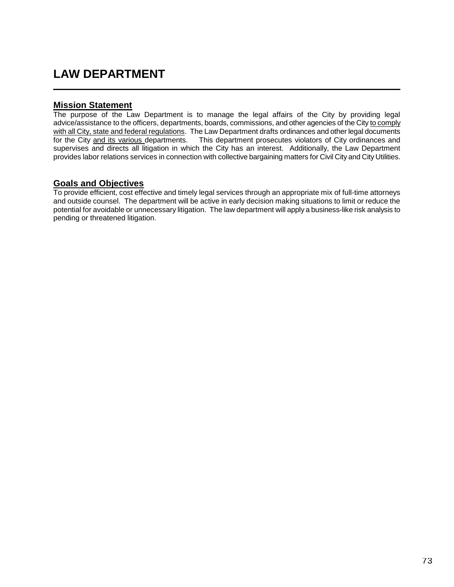## **LAW DEPARTMENT**

## **Mission Statement**

The purpose of the Law Department is to manage the legal affairs of the City by providing legal advice/assistance to the officers, departments, boards, commissions, and other agencies of the City to comply with all City, state and federal regulations. The Law Department drafts ordinances and other legal documents for the City and its various departments. This department prosecutes violators of City ordinances and supervises and directs all litigation in which the City has an interest. Additionally, the Law Department provides labor relations services in connection with collective bargaining matters for Civil City and City Utilities.

## **Goals and Objectives**

To provide efficient, cost effective and timely legal services through an appropriate mix of full-time attorneys and outside counsel. The department will be active in early decision making situations to limit or reduce the potential for avoidable or unnecessary litigation. The law department will apply a business-like risk analysis to pending or threatened litigation.